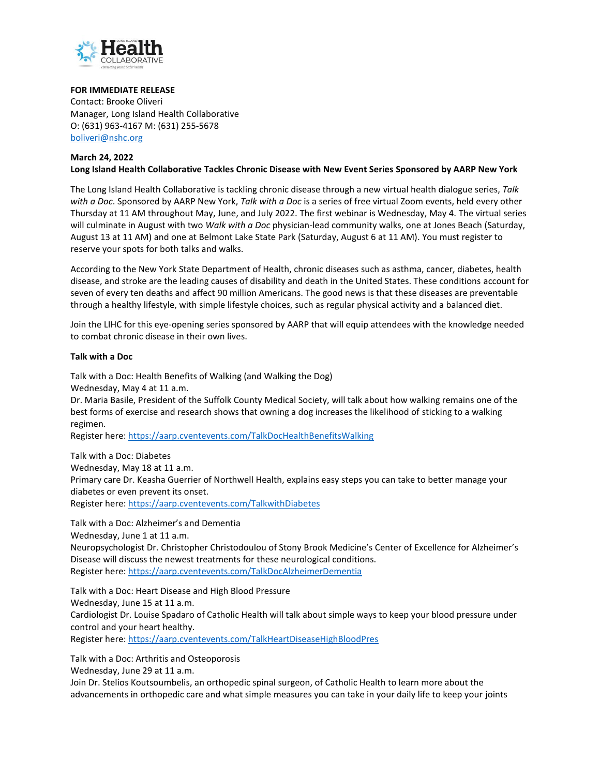

## **FOR IMMEDIATE RELEASE**

Contact: Brooke Oliveri Manager, Long Island Health Collaborative O: (631) 963-4167 M: (631) 255-5678 [boliveri@nshc.org](mailto:boliveri@nshc.org)

## **March 24, 2022**

**Long Island Health Collaborative Tackles Chronic Disease with New Event Series Sponsored by AARP New York**

The Long Island Health Collaborative is tackling chronic disease through a new virtual health dialogue series, *Talk with a Doc*. Sponsored by AARP New York, *Talk with a Doc* is a series of free virtual Zoom events, held every other Thursday at 11 AM throughout May, June, and July 2022. The first webinar is Wednesday, May 4. The virtual series will culminate in August with two *Walk with a Doc* physician-lead community walks, one at Jones Beach (Saturday, August 13 at 11 AM) and one at Belmont Lake State Park (Saturday, August 6 at 11 AM). You must register to reserve your spots for both talks and walks.

According to the New York State Department of Health, chronic diseases such as asthma, cancer, diabetes, health disease, and stroke are the leading causes of disability and death in the United States. These conditions account for seven of every ten deaths and affect 90 million Americans. The good news is that these diseases are preventable through a healthy lifestyle, with simple lifestyle choices, such as regular physical activity and a balanced diet.

Join the LIHC for this eye-opening series sponsored by AARP that will equip attendees with the knowledge needed to combat chronic disease in their own lives.

## **Talk with a Doc**

Talk with a Doc: Health Benefits of Walking (and Walking the Dog)

Wednesday, May 4 at 11 a.m.

Talk with a Doc: Arthritis and Osteoporosis

Dr. Maria Basile, President of the Suffolk County Medical Society, will talk about how walking remains one of the best forms of exercise and research shows that owning a dog increases the likelihood of sticking to a walking regimen.

Register here:<https://aarp.cventevents.com/TalkDocHealthBenefitsWalking>

Talk with a Doc: Diabetes Wednesday, May 18 at 11 a.m. Primary care Dr. Keasha Guerrier of Northwell Health, explains easy steps you can take to better manage your diabetes or even prevent its onset. Register here:<https://aarp.cventevents.com/TalkwithDiabetes>

Talk with a Doc: Alzheimer's and Dementia Wednesday, June 1 at 11 a.m. Neuropsychologist Dr. Christopher Christodoulou of Stony Brook Medicine's Center of Excellence for Alzheimer's Disease will discuss the newest treatments for these neurological conditions. Register here:<https://aarp.cventevents.com/TalkDocAlzheimerDementia>

Talk with a Doc: Heart Disease and High Blood Pressure Wednesday, June 15 at 11 a.m. Cardiologist Dr. Louise Spadaro of Catholic Health will talk about simple ways to keep your blood pressure under control and your heart healthy. Register here:<https://aarp.cventevents.com/TalkHeartDiseaseHighBloodPres>

Wednesday, June 29 at 11 a.m. Join Dr. Stelios Koutsoumbelis, an orthopedic spinal surgeon, of Catholic Health to learn more about the advancements in orthopedic care and what simple measures you can take in your daily life to keep your joints